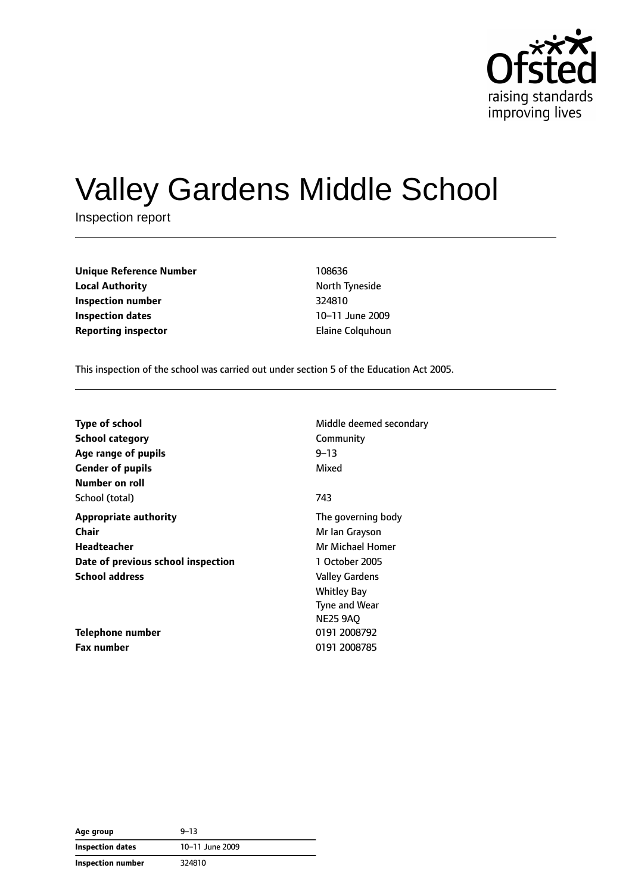

# Valley Gardens Middle School

Inspection report

| <b>Unique Reference Number</b> | 108636           |
|--------------------------------|------------------|
| <b>Local Authority</b>         | North Tyneside   |
| Inspection number              | 324810           |
| <b>Inspection dates</b>        | 10-11 June 2009  |
| <b>Reporting inspector</b>     | Elaine Colquhoun |

This inspection of the school was carried out under section 5 of the Education Act 2005.

| <b>Type of school</b>              | Middle deemed secondary |
|------------------------------------|-------------------------|
| <b>School category</b>             | Community               |
| Age range of pupils                | $9 - 13$                |
| <b>Gender of pupils</b>            | Mixed                   |
| Number on roll                     |                         |
| School (total)                     | 743                     |
| <b>Appropriate authority</b>       | The governing body      |
| Chair                              | Mr Ian Grayson          |
| Headteacher                        | <b>Mr Michael Homer</b> |
| Date of previous school inspection | 1 October 2005          |
| <b>School address</b>              | Valley Gardens          |
|                                    | Whitley Bay             |
|                                    | Tyne and Wear           |
|                                    | <b>NE25 9AQ</b>         |
| Telephone number                   | 0191 2008792            |
| <b>Fax number</b>                  | 0191 2008785            |

| Age group                | $9 - 13$        |
|--------------------------|-----------------|
| <b>Inspection dates</b>  | 10-11 June 2009 |
| <b>Inspection number</b> | 324810          |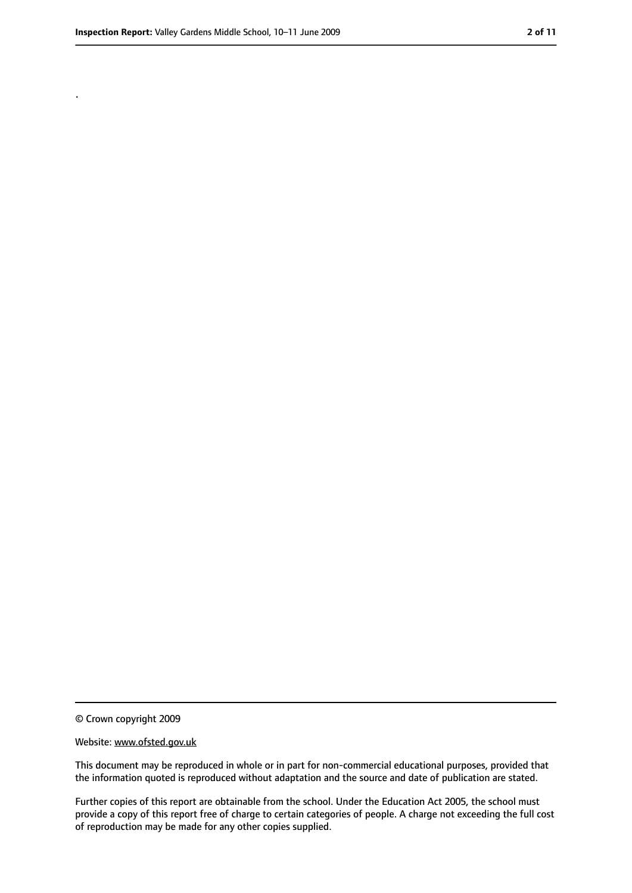.

<sup>©</sup> Crown copyright 2009

Website: www.ofsted.gov.uk

This document may be reproduced in whole or in part for non-commercial educational purposes, provided that the information quoted is reproduced without adaptation and the source and date of publication are stated.

Further copies of this report are obtainable from the school. Under the Education Act 2005, the school must provide a copy of this report free of charge to certain categories of people. A charge not exceeding the full cost of reproduction may be made for any other copies supplied.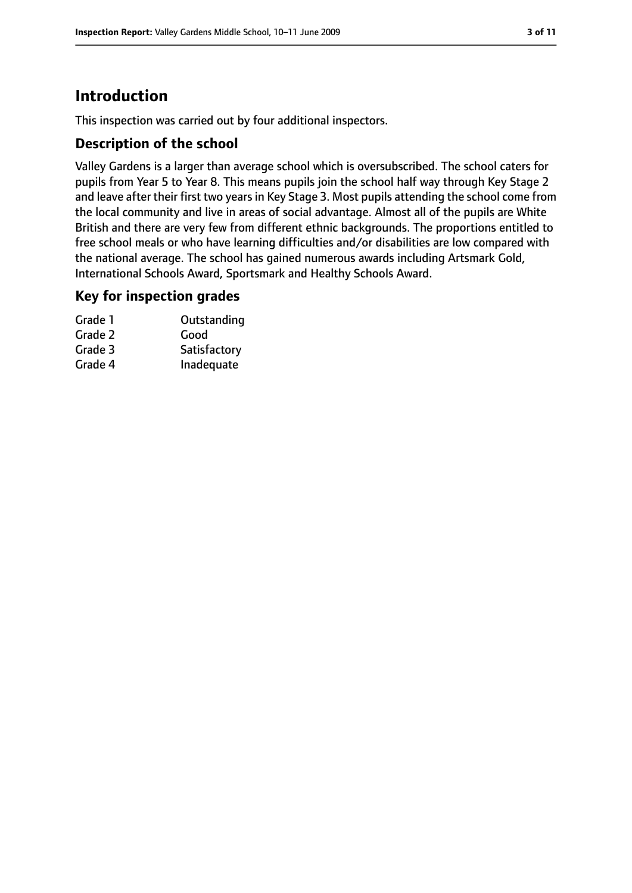# **Introduction**

This inspection was carried out by four additional inspectors.

#### **Description of the school**

Valley Gardens is a larger than average school which is oversubscribed. The school caters for pupils from Year 5 to Year 8. This means pupils join the school half way through Key Stage 2 and leave after their first two years in Key Stage 3. Most pupils attending the school come from the local community and live in areas of social advantage. Almost all of the pupils are White British and there are very few from different ethnic backgrounds. The proportions entitled to free school meals or who have learning difficulties and/or disabilities are low compared with the national average. The school has gained numerous awards including Artsmark Gold, International Schools Award, Sportsmark and Healthy Schools Award.

#### **Key for inspection grades**

| Grade 1 | Outstanding  |
|---------|--------------|
| Grade 2 | Good         |
| Grade 3 | Satisfactory |
| Grade 4 | Inadequate   |
|         |              |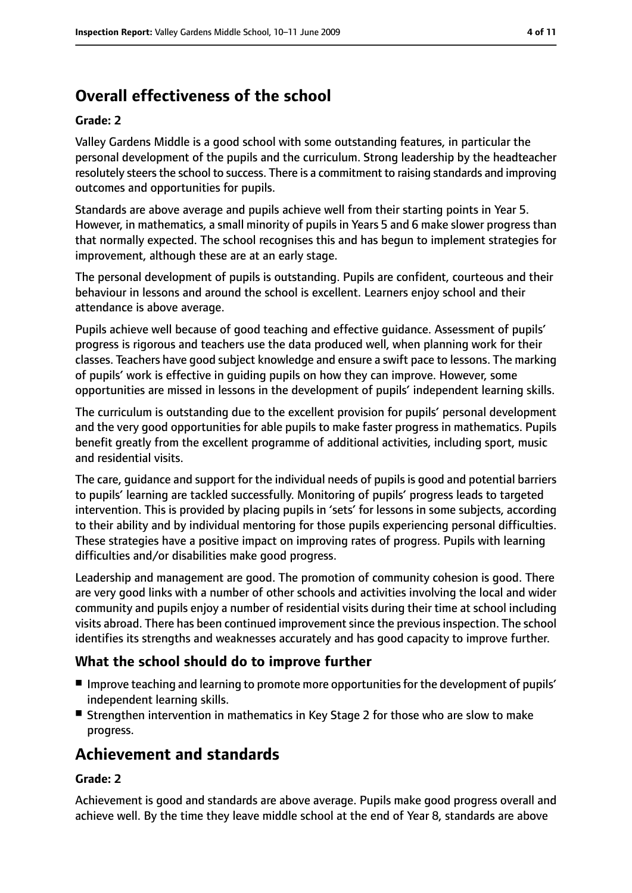# **Overall effectiveness of the school**

#### **Grade: 2**

Valley Gardens Middle is a good school with some outstanding features, in particular the personal development of the pupils and the curriculum. Strong leadership by the headteacher resolutely steers the school to success. There is a commitment to raising standards and improving outcomes and opportunities for pupils.

Standards are above average and pupils achieve well from their starting points in Year 5. However, in mathematics, a small minority of pupils in Years 5 and 6 make slower progress than that normally expected. The school recognises this and has begun to implement strategies for improvement, although these are at an early stage.

The personal development of pupils is outstanding. Pupils are confident, courteous and their behaviour in lessons and around the school is excellent. Learners enjoy school and their attendance is above average.

Pupils achieve well because of good teaching and effective guidance. Assessment of pupils' progress is rigorous and teachers use the data produced well, when planning work for their classes. Teachers have good subject knowledge and ensure a swift pace to lessons. The marking of pupils' work is effective in guiding pupils on how they can improve. However, some opportunities are missed in lessons in the development of pupils' independent learning skills.

The curriculum is outstanding due to the excellent provision for pupils' personal development and the very good opportunities for able pupils to make faster progress in mathematics. Pupils benefit greatly from the excellent programme of additional activities, including sport, music and residential visits.

The care, guidance and support for the individual needs of pupils is good and potential barriers to pupils' learning are tackled successfully. Monitoring of pupils' progress leads to targeted intervention. This is provided by placing pupils in 'sets' for lessons in some subjects, according to their ability and by individual mentoring for those pupils experiencing personal difficulties. These strategies have a positive impact on improving rates of progress. Pupils with learning difficulties and/or disabilities make good progress.

Leadership and management are good. The promotion of community cohesion is good. There are very good links with a number of other schools and activities involving the local and wider community and pupils enjoy a number of residential visits during their time at school including visits abroad. There has been continued improvement since the previous inspection. The school identifies its strengths and weaknesses accurately and has good capacity to improve further.

#### **What the school should do to improve further**

- Improve teaching and learning to promote more opportunities for the development of pupils' independent learning skills.
- Strengthen intervention in mathematics in Key Stage 2 for those who are slow to make progress.

# **Achievement and standards**

#### **Grade: 2**

Achievement is good and standards are above average. Pupils make good progress overall and achieve well. By the time they leave middle school at the end of Year 8, standards are above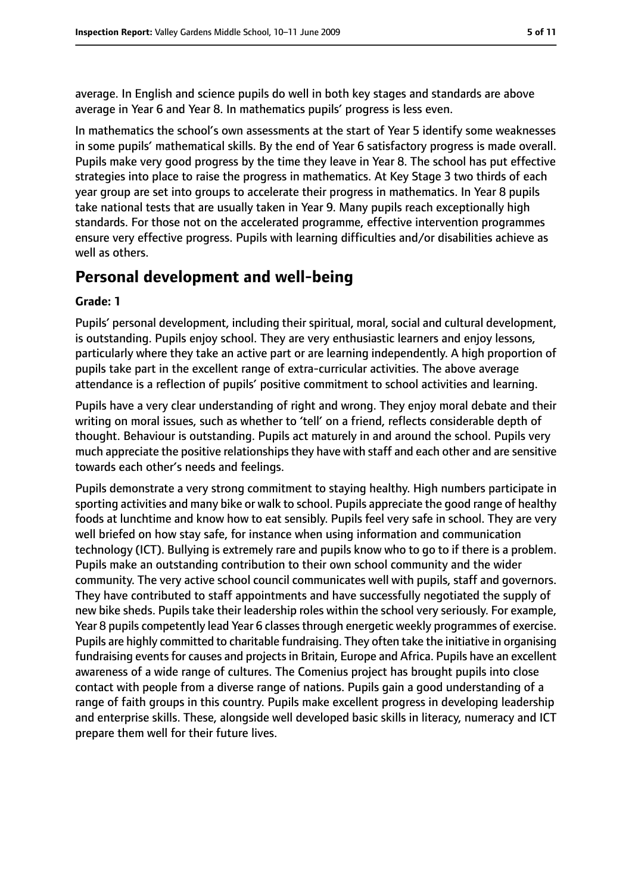average. In English and science pupils do well in both key stages and standards are above average in Year 6 and Year 8. In mathematics pupils' progress is less even.

In mathematics the school's own assessments at the start of Year 5 identify some weaknesses in some pupils' mathematical skills. By the end of Year 6 satisfactory progress is made overall. Pupils make very good progress by the time they leave in Year 8. The school has put effective strategies into place to raise the progress in mathematics. At Key Stage 3 two thirds of each year group are set into groups to accelerate their progress in mathematics. In Year 8 pupils take national tests that are usually taken in Year 9. Many pupils reach exceptionally high standards. For those not on the accelerated programme, effective intervention programmes ensure very effective progress. Pupils with learning difficulties and/or disabilities achieve as well as others.

# **Personal development and well-being**

#### **Grade: 1**

Pupils' personal development, including their spiritual, moral, social and cultural development, is outstanding. Pupils enjoy school. They are very enthusiastic learners and enjoy lessons, particularly where they take an active part or are learning independently. A high proportion of pupils take part in the excellent range of extra-curricular activities. The above average attendance is a reflection of pupils' positive commitment to school activities and learning.

Pupils have a very clear understanding of right and wrong. They enjoy moral debate and their writing on moral issues, such as whether to 'tell' on a friend, reflects considerable depth of thought. Behaviour is outstanding. Pupils act maturely in and around the school. Pupils very much appreciate the positive relationships they have with staff and each other and are sensitive towards each other's needs and feelings.

Pupils demonstrate a very strong commitment to staying healthy. High numbers participate in sporting activities and many bike or walk to school. Pupils appreciate the good range of healthy foods at lunchtime and know how to eat sensibly. Pupils feel very safe in school. They are very well briefed on how stay safe, for instance when using information and communication technology (ICT). Bullying is extremely rare and pupils know who to go to if there is a problem. Pupils make an outstanding contribution to their own school community and the wider community. The very active school council communicates well with pupils, staff and governors. They have contributed to staff appointments and have successfully negotiated the supply of new bike sheds. Pupils take their leadership roles within the school very seriously. For example, Year 8 pupils competently lead Year 6 classes through energetic weekly programmes of exercise. Pupils are highly committed to charitable fundraising. They often take the initiative in organising fundraising events for causes and projects in Britain, Europe and Africa. Pupils have an excellent awareness of a wide range of cultures. The Comenius project has brought pupils into close contact with people from a diverse range of nations. Pupils gain a good understanding of a range of faith groups in this country. Pupils make excellent progress in developing leadership and enterprise skills. These, alongside well developed basic skills in literacy, numeracy and ICT prepare them well for their future lives.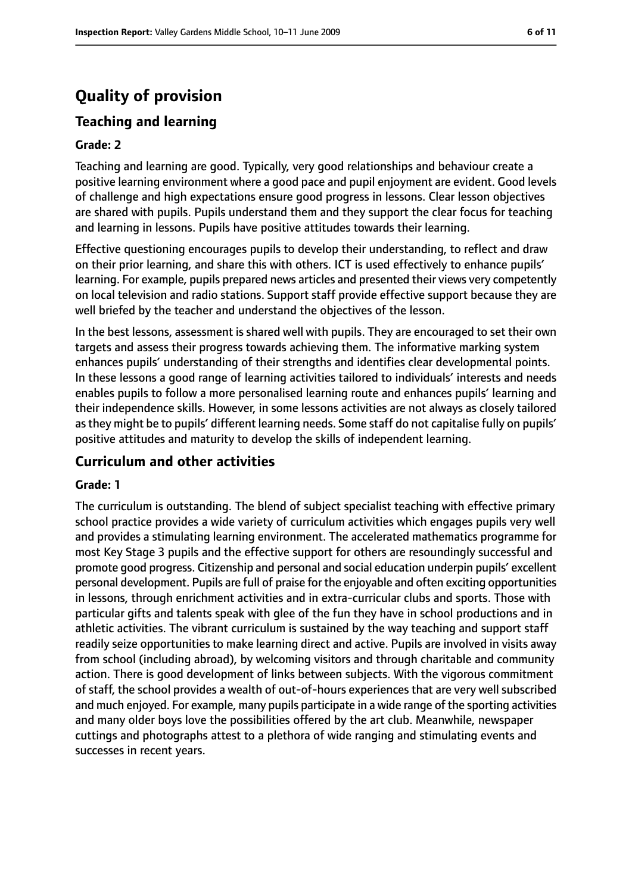# **Quality of provision**

### **Teaching and learning**

#### **Grade: 2**

Teaching and learning are good. Typically, very good relationships and behaviour create a positive learning environment where a good pace and pupil enjoyment are evident. Good levels of challenge and high expectations ensure good progress in lessons. Clear lesson objectives are shared with pupils. Pupils understand them and they support the clear focus for teaching and learning in lessons. Pupils have positive attitudes towards their learning.

Effective questioning encourages pupils to develop their understanding, to reflect and draw on their prior learning, and share this with others. ICT is used effectively to enhance pupils' learning. For example, pupils prepared news articles and presented their views very competently on local television and radio stations. Support staff provide effective support because they are well briefed by the teacher and understand the objectives of the lesson.

In the best lessons, assessment is shared well with pupils. They are encouraged to set their own targets and assess their progress towards achieving them. The informative marking system enhances pupils' understanding of their strengths and identifies clear developmental points. In these lessons a good range of learning activities tailored to individuals' interests and needs enables pupils to follow a more personalised learning route and enhances pupils' learning and their independence skills. However, in some lessons activities are not always as closely tailored asthey might be to pupils' different learning needs. Some staff do not capitalise fully on pupils' positive attitudes and maturity to develop the skills of independent learning.

#### **Curriculum and other activities**

#### **Grade: 1**

The curriculum is outstanding. The blend of subject specialist teaching with effective primary school practice provides a wide variety of curriculum activities which engages pupils very well and provides a stimulating learning environment. The accelerated mathematics programme for most Key Stage 3 pupils and the effective support for others are resoundingly successful and promote good progress. Citizenship and personal and social education underpin pupils' excellent personal development. Pupils are full of praise for the enjoyable and often exciting opportunities in lessons, through enrichment activities and in extra-curricular clubs and sports. Those with particular gifts and talents speak with glee of the fun they have in school productions and in athletic activities. The vibrant curriculum is sustained by the way teaching and support staff readily seize opportunities to make learning direct and active. Pupils are involved in visits away from school (including abroad), by welcoming visitors and through charitable and community action. There is good development of links between subjects. With the vigorous commitment of staff, the school provides a wealth of out-of-hours experiences that are very well subscribed and much enjoyed. For example, many pupils participate in a wide range of the sporting activities and many older boys love the possibilities offered by the art club. Meanwhile, newspaper cuttings and photographs attest to a plethora of wide ranging and stimulating events and successes in recent years.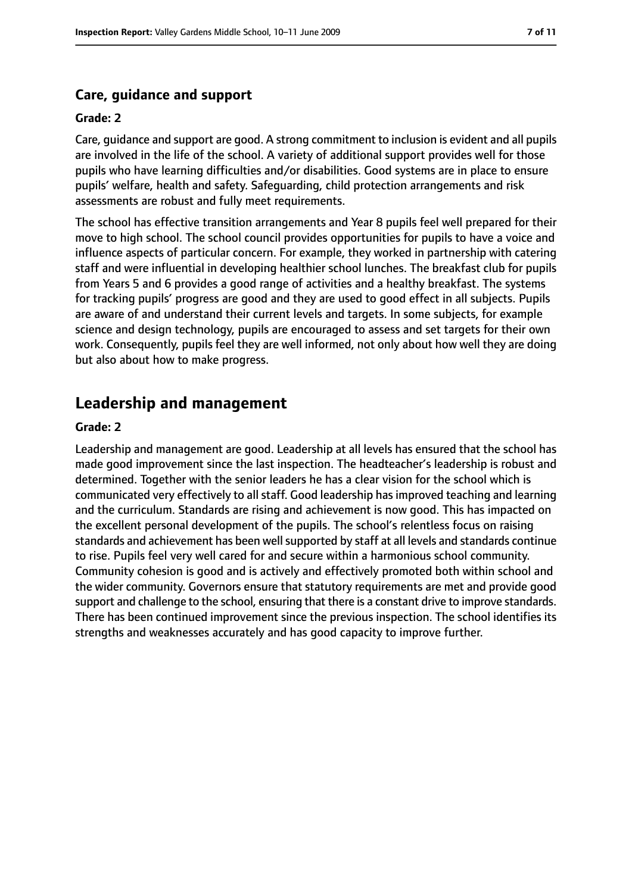#### **Care, guidance and support**

#### **Grade: 2**

Care, guidance and support are good. A strong commitment to inclusion is evident and all pupils are involved in the life of the school. A variety of additional support provides well for those pupils who have learning difficulties and/or disabilities. Good systems are in place to ensure pupils' welfare, health and safety. Safeguarding, child protection arrangements and risk assessments are robust and fully meet requirements.

The school has effective transition arrangements and Year 8 pupils feel well prepared for their move to high school. The school council provides opportunities for pupils to have a voice and influence aspects of particular concern. For example, they worked in partnership with catering staff and were influential in developing healthier school lunches. The breakfast club for pupils from Years 5 and 6 provides a good range of activities and a healthy breakfast. The systems for tracking pupils' progress are good and they are used to good effect in all subjects. Pupils are aware of and understand their current levels and targets. In some subjects, for example science and design technology, pupils are encouraged to assess and set targets for their own work. Consequently, pupils feel they are well informed, not only about how well they are doing but also about how to make progress.

# **Leadership and management**

#### **Grade: 2**

Leadership and management are good. Leadership at all levels has ensured that the school has made good improvement since the last inspection. The headteacher's leadership is robust and determined. Together with the senior leaders he has a clear vision for the school which is communicated very effectively to all staff. Good leadership has improved teaching and learning and the curriculum. Standards are rising and achievement is now good. This has impacted on the excellent personal development of the pupils. The school's relentless focus on raising standards and achievement has been wellsupported by staff at all levels and standards continue to rise. Pupils feel very well cared for and secure within a harmonious school community. Community cohesion is good and is actively and effectively promoted both within school and the wider community. Governors ensure that statutory requirements are met and provide good support and challenge to the school, ensuring that there is a constant drive to improve standards. There has been continued improvement since the previous inspection. The school identifies its strengths and weaknesses accurately and has good capacity to improve further.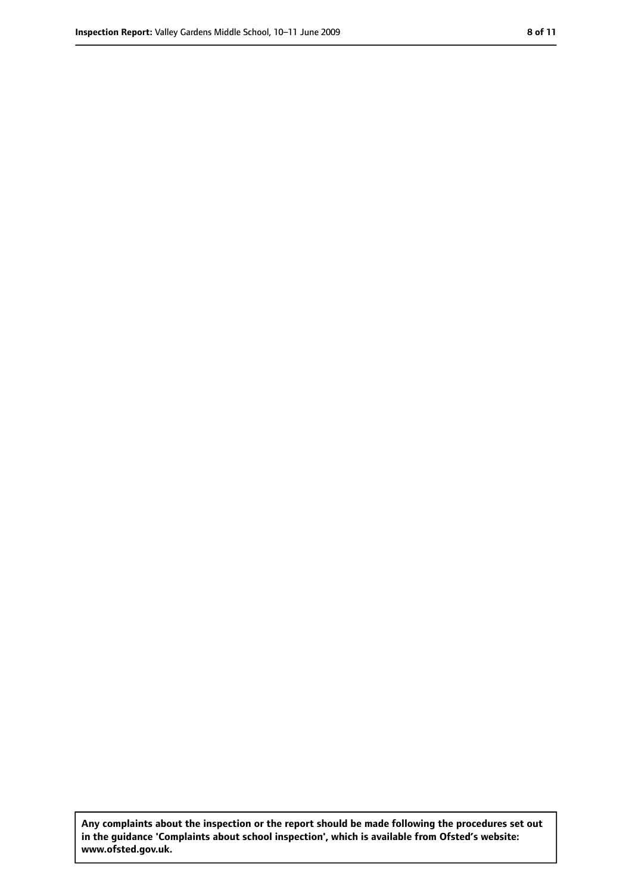**Any complaints about the inspection or the report should be made following the procedures set out in the guidance 'Complaints about school inspection', which is available from Ofsted's website: www.ofsted.gov.uk.**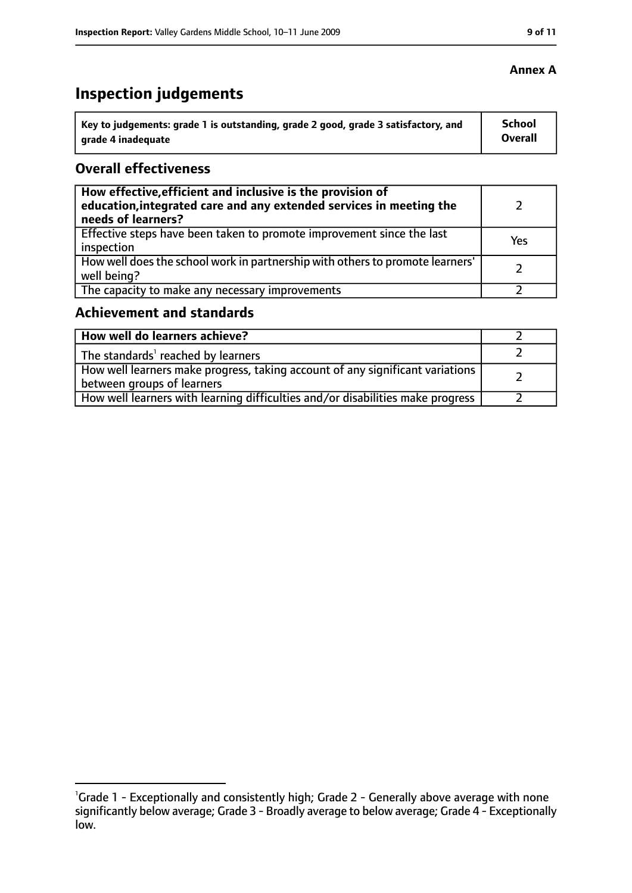# **Inspection judgements**

| Key to judgements: grade 1 is outstanding, grade 2 good, grade 3 satisfactory, and | School  |
|------------------------------------------------------------------------------------|---------|
| arade 4 inadequate                                                                 | Overall |

#### **Overall effectiveness**

| How effective, efficient and inclusive is the provision of<br>education, integrated care and any extended services in meeting the<br>needs of learners? |     |
|---------------------------------------------------------------------------------------------------------------------------------------------------------|-----|
| Effective steps have been taken to promote improvement since the last<br>inspection                                                                     | Yes |
| How well does the school work in partnership with others to promote learners'<br>well being?                                                            |     |
| The capacity to make any necessary improvements                                                                                                         |     |

### **Achievement and standards**

| How well do learners achieve?                                                                                 |  |
|---------------------------------------------------------------------------------------------------------------|--|
| $\vert$ The standards <sup>1</sup> reached by learners                                                        |  |
| How well learners make progress, taking account of any significant variations  <br>between groups of learners |  |
| How well learners with learning difficulties and/or disabilities make progress                                |  |

<sup>&</sup>lt;sup>1</sup>Grade 1 - Exceptionally and consistently high; Grade 2 - Generally above average with none significantly below average; Grade 3 - Broadly average to below average; Grade 4 - Exceptionally low.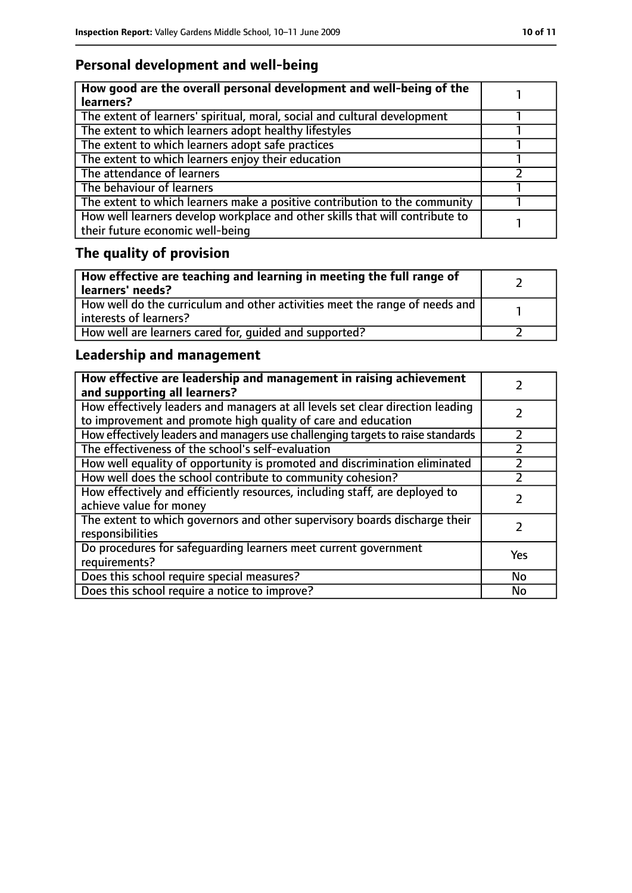# **Personal development and well-being**

| How good are the overall personal development and well-being of the<br>learners?                                 |  |
|------------------------------------------------------------------------------------------------------------------|--|
| The extent of learners' spiritual, moral, social and cultural development                                        |  |
| The extent to which learners adopt healthy lifestyles                                                            |  |
| The extent to which learners adopt safe practices                                                                |  |
| The extent to which learners enjoy their education                                                               |  |
| The attendance of learners                                                                                       |  |
| The behaviour of learners                                                                                        |  |
| The extent to which learners make a positive contribution to the community                                       |  |
| How well learners develop workplace and other skills that will contribute to<br>their future economic well-being |  |

# **The quality of provision**

| How effective are teaching and learning in meeting the full range of<br>learners' needs?              |  |
|-------------------------------------------------------------------------------------------------------|--|
| How well do the curriculum and other activities meet the range of needs and<br>interests of learners? |  |
| How well are learners cared for, quided and supported?                                                |  |

## **Leadership and management**

| How effective are leadership and management in raising achievement<br>and supporting all learners?                                              |     |
|-------------------------------------------------------------------------------------------------------------------------------------------------|-----|
| How effectively leaders and managers at all levels set clear direction leading<br>to improvement and promote high quality of care and education |     |
| How effectively leaders and managers use challenging targets to raise standards                                                                 |     |
| The effectiveness of the school's self-evaluation                                                                                               |     |
| How well equality of opportunity is promoted and discrimination eliminated                                                                      |     |
| How well does the school contribute to community cohesion?                                                                                      |     |
| How effectively and efficiently resources, including staff, are deployed to<br>achieve value for money                                          |     |
| The extent to which governors and other supervisory boards discharge their<br>responsibilities                                                  |     |
| Do procedures for safequarding learners meet current government<br>requirements?                                                                | Yes |
| Does this school require special measures?                                                                                                      | No  |
| Does this school require a notice to improve?                                                                                                   | No  |